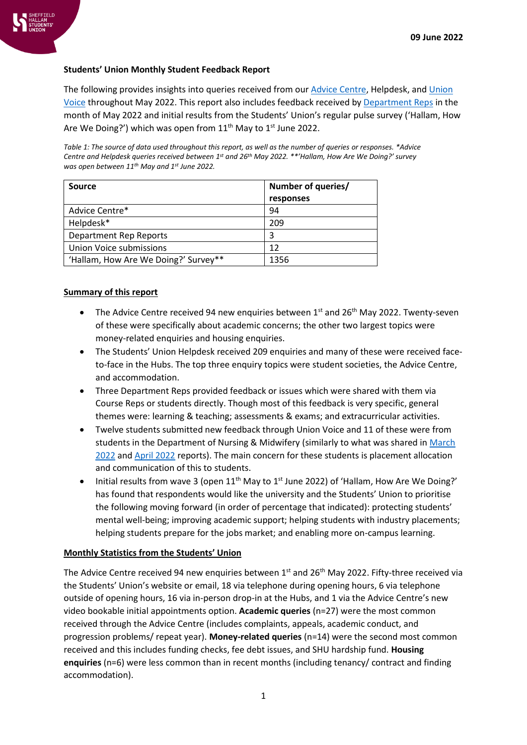

### **Students' Union Monthly Student Feedback Report**

The following provides insights into queries received from our [Advice Centre,](https://www.hallamstudentsunion.com/advice_help/) Helpdesk, and Union [Voice](https://www.hallamstudentsunion.com/representation/research/union-voice/) throughout May 2022. This report also includes feedback received b[y Department Reps](https://www.hallamstudentsunion.com/representation/academicinterests/departmentreps/) in the month of May 2022 and initial results from the Students' Union's regular pulse survey ('Hallam, How Are We Doing?') which was open from  $11<sup>th</sup>$  May to  $1<sup>st</sup>$  June 2022.

*Table 1: The source of data used throughout this report, as well as the number of queries or responses. \*Advice Centre and Helpdesk queries received between 1 st and 26th May 2022. \*\*'Hallam, How Are We Doing?' survey was open between 11th May and 1st June 2022.*

| Source                               | Number of queries/ |  |
|--------------------------------------|--------------------|--|
|                                      | responses          |  |
| Advice Centre*                       | 94                 |  |
| Helpdesk*                            | 209                |  |
| <b>Department Rep Reports</b>        | 3                  |  |
| Union Voice submissions              | 12                 |  |
| 'Hallam, How Are We Doing?' Survey** | 1356               |  |

### **Summary of this report**

- The Advice Centre received 94 new enquiries between  $1<sup>st</sup>$  and 26<sup>th</sup> May 2022. Twenty-seven of these were specifically about academic concerns; the other two largest topics were money-related enquiries and housing enquiries.
- The Students' Union Helpdesk received 209 enquiries and many of these were received faceto-face in the Hubs. The top three enquiry topics were student societies, the Advice Centre, and accommodation.
- Three Department Reps provided feedback or issues which were shared with them via Course Reps or students directly. Though most of this feedback is very specific, general themes were: learning & teaching; assessments & exams; and extracurricular activities.
- Twelve students submitted new feedback through Union Voice and 11 of these were from students in the Department of Nursing & Midwifery (similarly to what was shared in March [2022](https://www.hallamstudentsunion.com/pageassets/representation/research/SHSU-Monthly-Student-Feedback-Report-March-2022(1).pdf) and [April 2022](https://www.hallamstudentsunion.com/pageassets/representation/research/SHSU-Monthly-Student-Feedback-Report-April-2022(2).pdf) reports). The main concern for these students is placement allocation and communication of this to students.
- Initial results from wave 3 (open  $11<sup>th</sup>$  May to  $1<sup>st</sup>$  June 2022) of 'Hallam, How Are We Doing?' has found that respondents would like the university and the Students' Union to prioritise the following moving forward (in order of percentage that indicated): protecting students' mental well-being; improving academic support; helping students with industry placements; helping students prepare for the jobs market; and enabling more on-campus learning.

### **Monthly Statistics from the Students' Union**

The Advice Centre received 94 new enquiries between  $1<sup>st</sup>$  and 26<sup>th</sup> May 2022. Fifty-three received via the Students' Union's website or email, 18 via telephone during opening hours, 6 via telephone outside of opening hours, 16 via in-person drop-in at the Hubs, and 1 via the Advice Centre's new video bookable initial appointments option. **Academic queries** (n=27) were the most common received through the Advice Centre (includes complaints, appeals, academic conduct, and progression problems/ repeat year). **Money-related queries** (n=14) were the second most common received and this includes funding checks, fee debt issues, and SHU hardship fund. **Housing enquiries** (n=6) were less common than in recent months (including tenancy/ contract and finding accommodation).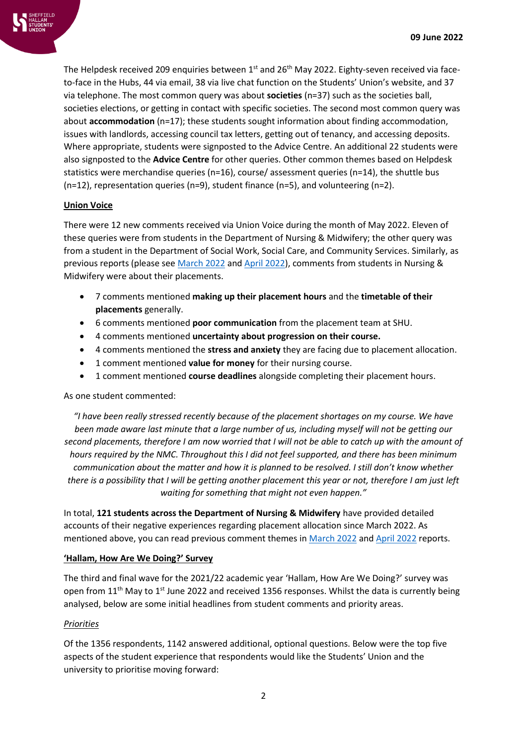

The Helpdesk received 209 enquiries between 1st and 26<sup>th</sup> May 2022. Eighty-seven received via faceto-face in the Hubs, 44 via email, 38 via live chat function on the Students' Union's website, and 37 via telephone. The most common query was about **societies** (n=37) such as the societies ball, societies elections, or getting in contact with specific societies. The second most common query was about **accommodation** (n=17); these students sought information about finding accommodation, issues with landlords, accessing council tax letters, getting out of tenancy, and accessing deposits. Where appropriate, students were signposted to the Advice Centre. An additional 22 students were also signposted to the **Advice Centre** for other queries. Other common themes based on Helpdesk statistics were merchandise queries (n=16), course/ assessment queries (n=14), the shuttle bus (n=12), representation queries (n=9), student finance (n=5), and volunteering (n=2).

### **Union Voice**

There were 12 new comments received via Union Voice during the month of May 2022. Eleven of these queries were from students in the Department of Nursing & Midwifery; the other query was from a student in the Department of Social Work, Social Care, and Community Services. Similarly, as previous reports (please se[e March 2022](https://www.hallamstudentsunion.com/pageassets/representation/research/SHSU-Monthly-Student-Feedback-Report-March-2022(1).pdf) and [April 2022\)](https://www.hallamstudentsunion.com/pageassets/representation/research/SHSU-Monthly-Student-Feedback-Report-April-2022(2).pdf), comments from students in Nursing & Midwifery were about their placements.

- 7 comments mentioned **making up their placement hours** and the **timetable of their placements** generally.
- 6 comments mentioned **poor communication** from the placement team at SHU.
- 4 comments mentioned **uncertainty about progression on their course.**
- 4 comments mentioned the **stress and anxiety** they are facing due to placement allocation.
- 1 comment mentioned **value for money** for their nursing course.
- 1 comment mentioned **course deadlines** alongside completing their placement hours.

# As one student commented:

*"I have been really stressed recently because of the placement shortages on my course. We have been made aware last minute that a large number of us, including myself will not be getting our second placements, therefore I am now worried that I will not be able to catch up with the amount of hours required by the NMC. Throughout this I did not feel supported, and there has been minimum communication about the matter and how it is planned to be resolved. I still don't know whether there is a possibility that I will be getting another placement this year or not, therefore I am just left waiting for something that might not even happen."*

In total, **121 students across the Department of Nursing & Midwifery** have provided detailed accounts of their negative experiences regarding placement allocation since March 2022. As mentioned above, you can read previous comment themes in [March 2022](https://www.hallamstudentsunion.com/pageassets/representation/research/SHSU-Monthly-Student-Feedback-Report-March-2022(1).pdf) and [April 2022](https://www.hallamstudentsunion.com/pageassets/representation/research/SHSU-Monthly-Student-Feedback-Report-April-2022(2).pdf) reports.

### **'Hallam, How Are We Doing?' Survey**

The third and final wave for the 2021/22 academic year 'Hallam, How Are We Doing?' survey was open from  $11<sup>th</sup>$  May to  $1<sup>st</sup>$  June 2022 and received 1356 responses. Whilst the data is currently being analysed, below are some initial headlines from student comments and priority areas.

# *Priorities*

Of the 1356 respondents, 1142 answered additional, optional questions. Below were the top five aspects of the student experience that respondents would like the Students' Union and the university to prioritise moving forward: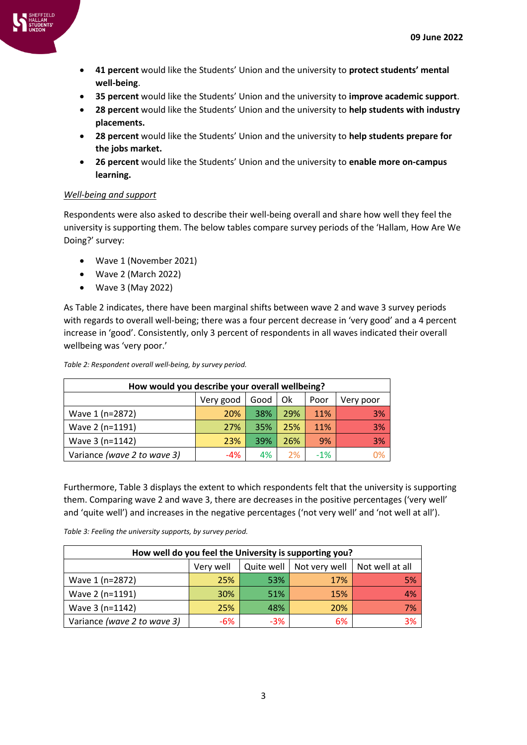

- **41 percent** would like the Students' Union and the university to **protect students' mental well-being**.
- **35 percent** would like the Students' Union and the university to **improve academic support**.
- **28 percent** would like the Students' Union and the university to **help students with industry placements.**
- **28 percent** would like the Students' Union and the university to **help students prepare for the jobs market.**
- **26 percent** would like the Students' Union and the university to **enable more on-campus learning.**

# *Well-being and support*

Respondents were also asked to describe their well-being overall and share how well they feel the university is supporting them. The below tables compare survey periods of the 'Hallam, How Are We Doing?' survey:

- Wave 1 (November 2021)
- Wave 2 (March 2022)
- Wave 3 (May 2022)

As [Table 2](#page-2-0) indicates, there have been marginal shifts between wave 2 and wave 3 survey periods with regards to overall well-being; there was a four percent decrease in 'very good' and a 4 percent increase in 'good'. Consistently, only 3 percent of respondents in all waves indicated their overall wellbeing was 'very poor.'

| How would you describe your overall wellbeing? |            |      |     |       |           |
|------------------------------------------------|------------|------|-----|-------|-----------|
|                                                | Very good  | Good | Ok  | Poor  | Very poor |
| Wave 1 (n=2872)                                | <b>20%</b> | 38%  | 29% | 11%   | 3%        |
| Wave 2 (n=1191)                                | 27%        | 35%  | 25% | 11%   | 3%        |
| Wave 3 (n=1142)                                | 23%        | 39%  | 26% | 9%    | 3%        |
| Variance (wave 2 to wave 3)                    | $-4\%$     | 4%   | 2%  | $-1%$ | 0%        |

<span id="page-2-0"></span>*Table 2: Respondent overall well-being, by survey period.*

Furthermore[, Table 3](#page-2-1) displays the extent to which respondents felt that the university is supporting them. Comparing wave 2 and wave 3, there are decreases in the positive percentages ('very well' and 'quite well') and increases in the negative percentages ('not very well' and 'not well at all').

<span id="page-2-1"></span>*Table 3: Feeling the university supports, by survey period.*

| How well do you feel the University is supporting you? |           |       |                            |                 |
|--------------------------------------------------------|-----------|-------|----------------------------|-----------------|
|                                                        | Very well |       | Quite well   Not very well | Not well at all |
| Wave 1 (n=2872)                                        | 25%       | 53%   | 17%                        | 5%              |
| Wave 2 (n=1191)                                        | 30%       | 51%   | 15%                        | 4%              |
| Wave 3 (n=1142)                                        | 25%       | 48%   | 20%                        | 7%              |
| Variance (wave 2 to wave 3)                            | -6%       | $-3%$ | 6%                         | 3%              |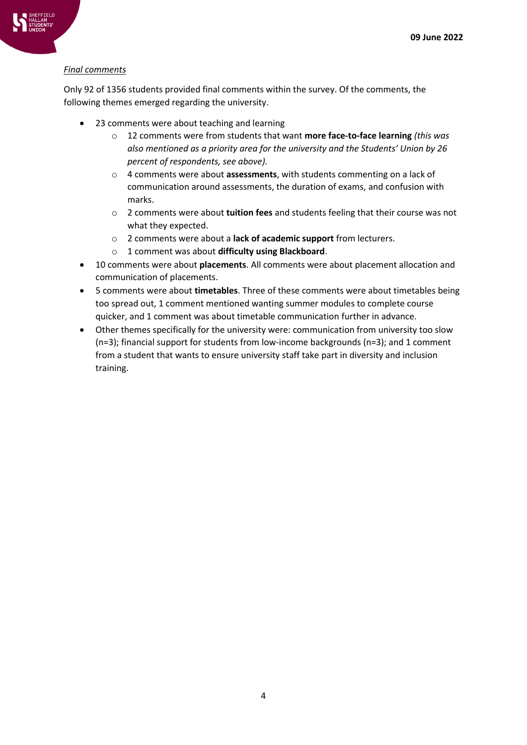

Only 92 of 1356 students provided final comments within the survey. Of the comments, the following themes emerged regarding the university.

- 23 comments were about teaching and learning
	- o 12 comments were from students that want **more face-to-face learning** *(this was also mentioned as a priority area for the university and the Students' Union by 26 percent of respondents, see above).*
	- o 4 comments were about **assessments**, with students commenting on a lack of communication around assessments, the duration of exams, and confusion with marks.
	- o 2 comments were about **tuition fees** and students feeling that their course was not what they expected.
	- o 2 comments were about a **lack of academic support** from lecturers.
	- o 1 comment was about **difficulty using Blackboard**.
- 10 comments were about **placements**. All comments were about placement allocation and communication of placements.
- 5 comments were about **timetables**. Three of these comments were about timetables being too spread out, 1 comment mentioned wanting summer modules to complete course quicker, and 1 comment was about timetable communication further in advance.
- Other themes specifically for the university were: communication from university too slow (n=3); financial support for students from low-income backgrounds (n=3); and 1 comment from a student that wants to ensure university staff take part in diversity and inclusion training.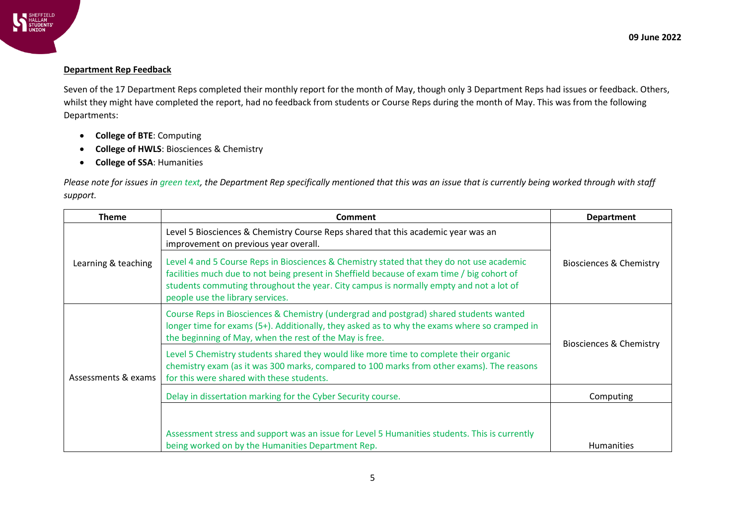

#### **Department Rep Feedback**

Seven of the 17 Department Reps completed their monthly report for the month of May, though only 3 Department Reps had issues or feedback. Others, whilst they might have completed the report, had no feedback from students or Course Reps during the month of May. This was from the following Departments:

- **College of BTE**: Computing
- **College of HWLS**: Biosciences & Chemistry
- **College of SSA**: Humanities

*Please note for issues in green text, the Department Rep specifically mentioned that this was an issue that is currently being worked through with staff support.*

| <b>Theme</b>        | <b>Comment</b>                                                                                                                                                                                                                                                                                                        | <b>Department</b>                  |  |
|---------------------|-----------------------------------------------------------------------------------------------------------------------------------------------------------------------------------------------------------------------------------------------------------------------------------------------------------------------|------------------------------------|--|
| Learning & teaching | Level 5 Biosciences & Chemistry Course Reps shared that this academic year was an<br>improvement on previous year overall.                                                                                                                                                                                            | <b>Biosciences &amp; Chemistry</b> |  |
|                     | Level 4 and 5 Course Reps in Biosciences & Chemistry stated that they do not use academic<br>facilities much due to not being present in Sheffield because of exam time / big cohort of<br>students commuting throughout the year. City campus is normally empty and not a lot of<br>people use the library services. |                                    |  |
| Assessments & exams | Course Reps in Biosciences & Chemistry (undergrad and postgrad) shared students wanted<br>longer time for exams (5+). Additionally, they asked as to why the exams where so cramped in<br>the beginning of May, when the rest of the May is free.                                                                     | Biosciences & Chemistry            |  |
|                     | Level 5 Chemistry students shared they would like more time to complete their organic<br>chemistry exam (as it was 300 marks, compared to 100 marks from other exams). The reasons<br>for this were shared with these students.                                                                                       |                                    |  |
|                     | Delay in dissertation marking for the Cyber Security course.                                                                                                                                                                                                                                                          | Computing                          |  |
|                     | Assessment stress and support was an issue for Level 5 Humanities students. This is currently<br>being worked on by the Humanities Department Rep.                                                                                                                                                                    | <b>Humanities</b>                  |  |